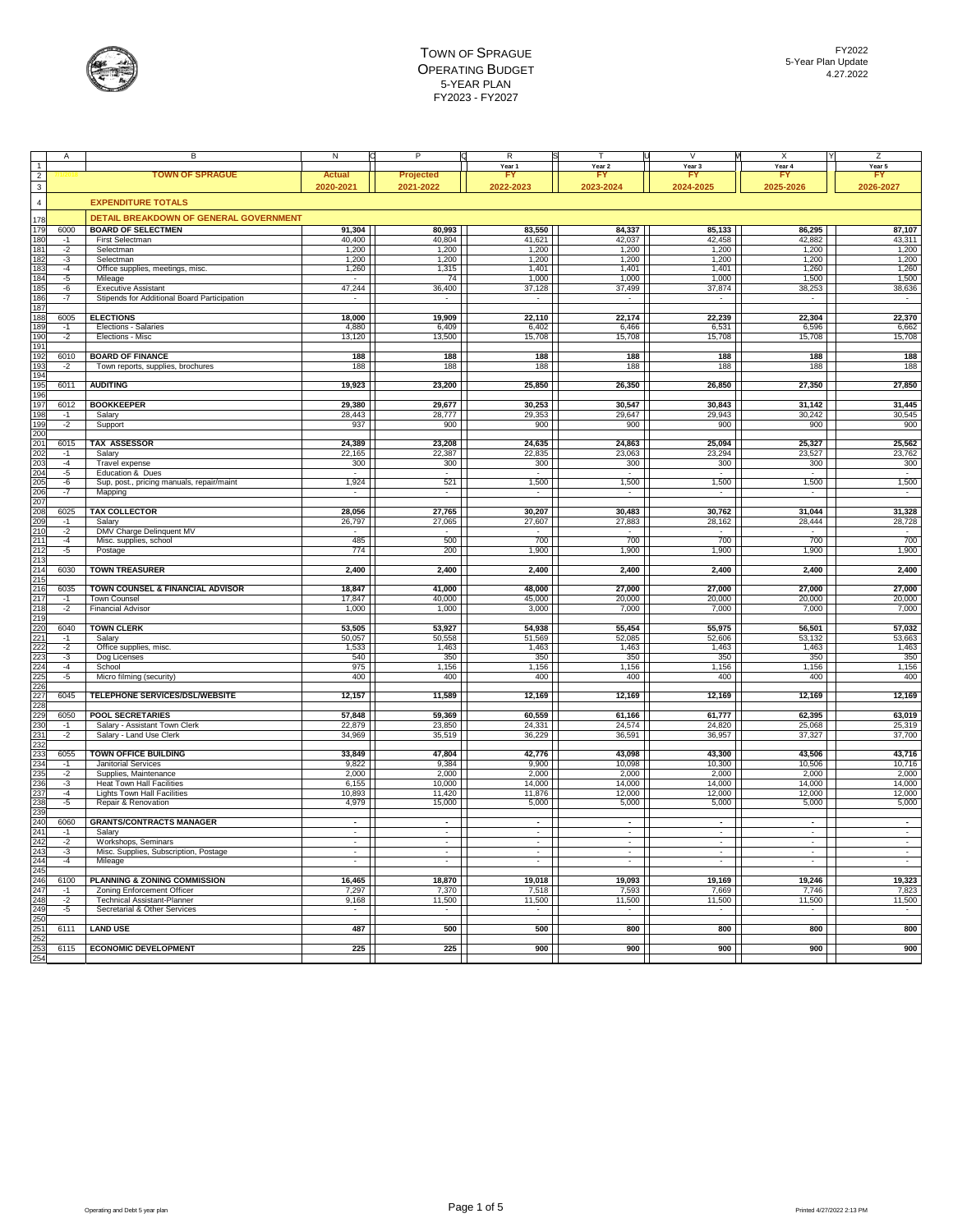

|                   |      | B                                             | N                        | P                        | R                        |                          | $\vee$    | X                        | Z                        |
|-------------------|------|-----------------------------------------------|--------------------------|--------------------------|--------------------------|--------------------------|-----------|--------------------------|--------------------------|
| $\overline{1}$    |      |                                               |                          |                          | Year 1                   | Year <sub>2</sub>        | Year 3    | Year 4                   | Year 5                   |
| $\overline{2}$    |      | <b>TOWN OF SPRAGUE</b>                        | Actual                   | Projected                |                          | F                        |           |                          | F                        |
| $\overline{3}$    |      |                                               | 2020-2021                | 2021-2022                | 2022-2023                | 2023-2024                | 2024-2025 | 2025-2026                | 2026-2027                |
|                   |      |                                               |                          |                          |                          |                          |           |                          |                          |
| $\overline{4}$    |      | <b>EXPENDITURE TOTALS</b>                     |                          |                          |                          |                          |           |                          |                          |
|                   |      | <b>DETAIL BREAKDOWN OF GENERAL GOVERNMENT</b> |                          |                          |                          |                          |           |                          |                          |
| 178               |      |                                               |                          |                          |                          |                          |           |                          |                          |
| 179               | 6000 | <b>BOARD OF SELECTMEN</b>                     | 91,304                   | 80,993                   | 83,550                   | 84,337                   | 85,133    | 86,295                   | 87,107                   |
| 180               | $-1$ | First Selectman                               | 40,400                   | 40,804                   | 41,621                   | 42,037                   | 42,458    | 42,882                   | 43,311                   |
| 181               | $-2$ | Selectman                                     | 1,200                    | 1,200                    | 1,200                    | 1,200                    | 1,200     | 1,200                    | 1,200                    |
| 182               | $-3$ | Selectman                                     | 1,200                    | 1,200                    | 1,200                    | 1,200                    | 1,200     | 1,200                    | 1,200                    |
| 183               | $-4$ | Office supplies, meetings, misc.              | 1,260                    | 1,315                    | 1,401                    | 1,401                    | 1.401     | 1,260                    | 1,260                    |
| 184               | $-5$ | Mileage                                       |                          | 74                       | 1,000                    | 1,000                    | 1,000     | 1,500                    | 1,500                    |
| 185               | $-6$ | <b>Executive Assistant</b>                    | 47,244                   | 36,400                   | 37,128                   | 37,499                   | 37,874    | 38,253                   | 38,636                   |
| 186               | $-7$ | Stipends for Additional Board Participation   |                          |                          |                          |                          |           | $\overline{\phantom{a}}$ | $\sim$                   |
| 187               |      |                                               |                          |                          |                          |                          |           |                          |                          |
| 188               | 6005 | <b>ELECTIONS</b>                              | 18,000                   | 19,909                   | 22,110                   | 22,174                   | 22,239    | 22,304                   | 22,370                   |
| 189               | $-1$ | Elections - Salaries                          | 4,880                    | 6,409                    | 6,402                    | 6,466                    | 6,531     | 6,596                    | 6,662                    |
| 190               | $-2$ | Elections - Misc                              | 13,120                   | 13,500                   | 15,708                   | 15,708                   | 15,708    | 15,708                   | 15,708                   |
| 191               |      |                                               |                          |                          |                          |                          |           |                          |                          |
|                   |      | <b>BOARD OF FINANCE</b>                       | 188                      | 188                      | 188                      | 188                      | 188       | 188                      | 188                      |
| 192<br>193        | 6010 |                                               |                          |                          |                          |                          |           |                          |                          |
|                   | $-2$ | Town reports, supplies, brochures             | 188                      | 188                      | 188                      | 188                      | 188       | 188                      | 188                      |
| 194               |      |                                               |                          |                          |                          |                          |           |                          |                          |
| 195               | 6011 | <b>AUDITING</b>                               | 19,923                   | 23,200                   | 25,850                   | 26,350                   | 26,850    | 27,350                   | 27,850                   |
| 196               |      |                                               |                          |                          |                          |                          |           |                          |                          |
| 197               | 6012 | <b>BOOKKEEPER</b>                             | 29,380                   | 29,677                   | 30,253                   | 30,547                   | 30,843    | 31,142                   | 31,445                   |
| 198               | $-1$ | Salary                                        | 28,443                   | 28,777                   | 29,353                   | 29,647                   | 29,943    | 30,242                   | 30,545                   |
| <b>199</b>        | $-2$ | Support                                       | 937                      | 900                      | 900                      | 900                      | 900       | 900                      | 900                      |
| 200               |      |                                               |                          |                          |                          |                          |           |                          |                          |
| 201               | 6015 | <b>TAX ASSESSOR</b>                           | 24,389                   | 23,208                   | 24,635                   | 24,863                   | 25,094    | 25,327                   | 25,562                   |
| 202               | $-1$ | Salarv                                        | 22,165                   | 22,387                   | 22,835                   | 23,063                   | 23,294    | 23,527                   | 23,762                   |
| 203               | $-4$ | Travel expense                                | 300                      | 300                      | 300                      | 300                      | 300       | 300                      | 300                      |
| 204               | $-5$ | Education & Dues                              |                          |                          |                          | ٠                        |           |                          | $\overline{\phantom{a}}$ |
|                   | $-6$ | Sup, post., pricing manuals, repair/maint     | 1,924                    | 521                      | 1,500                    | 1,500                    | 1,500     | 1,500                    | 1,500                    |
| 205<br>206        | $-7$ |                                               | $\overline{\phantom{a}}$ | $\overline{\phantom{a}}$ | $\overline{\phantom{a}}$ | $\overline{\phantom{a}}$ |           | $\overline{\phantom{a}}$ | $\overline{\phantom{a}}$ |
| 207               |      | Mapping                                       |                          |                          |                          |                          |           |                          |                          |
| 208               |      | <b>TAX COLLECTOR</b>                          |                          |                          |                          |                          |           |                          | 31,328                   |
|                   | 6025 |                                               | 28,056                   | 27,765                   | 30,207                   | 30,483                   | 30,762    | 31,044                   |                          |
| 20 <sup>c</sup>   | $-1$ | Salary                                        | 26,797                   | 27,065                   | 27,607                   | 27,883                   | 28,162    | 28.444                   | 28,728                   |
| 21C               | $-2$ | DMV Charge Delinquent MV                      |                          |                          |                          |                          |           |                          |                          |
| 211               | $-4$ | Misc. supplies, school                        | 485                      | 500                      | 700                      | 700                      | 700       | 700                      | 700                      |
| 212               | $-5$ | Postage                                       | 774                      | 200                      | 1,900                    | 1,900                    | 1,900     | 1,900                    | 1,900                    |
| 213               |      |                                               |                          |                          |                          |                          |           |                          |                          |
| 214               | 6030 | <b>TOWN TREASURER</b>                         | 2,400                    | 2,400                    | 2,400                    | 2,400                    | 2,400     | 2,400                    | 2,400                    |
| $\frac{215}{216}$ |      |                                               |                          |                          |                          |                          |           |                          |                          |
|                   | 6035 | TOWN COUNSEL & FINANCIAL ADVISOR              | 18,847                   | 41,000                   | 48,000                   | 27,000                   | 27,000    | 27,000                   | 27,000                   |
| 217               | $-1$ | Town Counsel                                  | 17,847                   | 40,000                   | 45,000                   | 20,000                   | 20,000    | 20,000                   | 20,000                   |
| 218               | $-2$ | <b>Financial Advisor</b>                      | 1,000                    | 1,000                    | 3,000                    | 7,000                    | 7,000     | 7,000                    | 7,000                    |
| 219               |      |                                               |                          |                          |                          |                          |           |                          |                          |
| 220               | 6040 | <b>TOWN CLERK</b>                             | 53,505                   | 53,927                   | 54,938                   | 55,454                   | 55,975    | 56,501                   | 57,032                   |
| 221               | $-1$ | Salary                                        | 50,057                   | 50,558                   | 51,569                   | 52,085                   | 52,606    | 53,132                   | 53,663                   |
| 222               | $-2$ | Office supplies, misc.                        | 1,533                    | 1,463                    | 1,463                    | 1,463                    | 1,463     | 1,463                    | 1,463                    |
| 223               | $-3$ | Dog Licenses                                  | 540                      | 350                      | 350                      | 350                      | 350       | 350                      | 350                      |
|                   | $-4$ | School                                        | 975                      | 1,156                    | 1,156                    | 1,156                    | 1,156     | 1,156                    | 1,156                    |
| 224<br>225        |      | Micro filming (security)                      | 400                      | 400                      | 400                      | 400                      | 400       | 400                      | 400                      |
| 226               | $-5$ |                                               |                          |                          |                          |                          |           |                          |                          |
| 227               | 6045 |                                               |                          |                          |                          |                          |           |                          |                          |
|                   |      | TELEPHONE SERVICES/DSL/WEBSITE                | 12,157                   | 11,589                   | 12,169                   | 12,169                   | 12,169    | 12,169                   | 12,169                   |
| 228               |      |                                               |                          |                          |                          |                          |           |                          |                          |
| 229               | 6050 | <b>POOL SECRETARIES</b>                       | 57,848                   | 59,369                   | 60,559                   | 61,166                   | 61,777    | 62,395                   | 63,019                   |
| 230               | $-1$ | Salary - Assistant Town Clerk                 | 22,879                   | 23,850                   | 24,331                   | 24,574                   | 24,820    | 25,068                   | 25,319                   |
| 231               | $-2$ | Salary - Land Use Clerk                       | 34,969                   | 35,519                   | 36,229                   | 36,591                   | 36,957    | 37,327                   | 37,700                   |
| 232               |      |                                               |                          |                          |                          |                          |           |                          |                          |
| 233               | 6055 | <b>TOWN OFFICE BUILDING</b>                   | 33,849                   | 47,804                   | 42,776                   | 43,098                   | 43,300    | 43,506                   | 43,716                   |
| 234               | $-1$ | Janitorial Services                           | 9,822                    | 9,384                    | 9,900                    | 10,098                   | 10,300    | 10,506                   | 10,716                   |
| 235               | $-2$ | Supplies, Maintenance                         | 2,000                    | 2,000                    | 2,000                    | 2,000                    | 2,000     | 2,000                    | 2,000                    |
| 236               | $-3$ | Heat Town Hall Facilities                     | 6,155                    | 10,000                   | 14,000                   | 14,000                   | 14,000    | 14,000                   | 14,000                   |
| 237               | $-4$ | <b>Lights Town Hall Facilities</b>            | 10,893                   | 11,420                   | 11,876                   | 12,000                   | 12,000    | 12,000                   | 12,000                   |
| 238               | $-5$ | Repair & Renovation                           | 4,979                    | 15,000                   | 5,000                    | 5,000                    | 5,000     | 5,000                    | 5,000                    |
| 239               |      |                                               |                          |                          |                          |                          |           |                          |                          |
| 240               | 6060 | <b>GRANTS/CONTRACTS MANAGER</b>               | $\sim$                   | $\sim$                   | $\sim$                   | $\sim$                   | $\sim$    | $\sim$                   | $\sim$                   |
| 241               | $-1$ | Salarv                                        | τ                        | τ                        | τ                        | τ                        | τ         |                          | τ                        |
|                   | $-2$ | Workshops, Seminars                           | $\sim$                   | $\sim$                   | $\overline{a}$           | ÷,                       | $\sim$    | ÷                        | $\sim$                   |
| 242<br>243        | $-3$ | Misc. Supplies, Subscription, Postage         | $\sim$                   | $\overline{\phantom{a}}$ | $\overline{\phantom{a}}$ | $\overline{\phantom{a}}$ | $\sim$    | $\overline{\phantom{a}}$ | $\overline{\phantom{a}}$ |
| 244               | $-4$ | Mileage                                       |                          |                          |                          |                          |           |                          | $\overline{\phantom{a}}$ |
| 245               |      |                                               |                          |                          |                          |                          |           |                          |                          |
| 246               | 6100 | PLANNING & ZONING COMMISSION                  | 16,465                   | 18,870                   | 19,018                   | 19,093                   | 19,169    | 19,246                   | 19,323                   |
|                   | $-1$ | Zoning Enforcement Officer                    |                          | 7,370                    | 7,518                    |                          | 7,669     | 7,746                    |                          |
| 247               |      |                                               | 7,297                    |                          |                          | 7,593                    |           |                          | 7,823                    |
| 248               | $-2$ | <b>Technical Assistant-Planner</b>            | 9,168                    | 11,500                   | 11,500                   | 11,500                   | 11,500    | 11,500                   | 11,500                   |
| 249               | $-5$ | Secretarial & Other Services                  |                          |                          |                          |                          |           |                          |                          |
| 25C               |      |                                               |                          |                          |                          |                          |           |                          |                          |
| 251               | 6111 | <b>LAND USE</b>                               | 487                      | 500                      | 500                      | 800                      | 800       | 800                      | 800                      |
| 252               |      |                                               |                          |                          |                          |                          |           |                          |                          |
| 253               | 6115 | <b>ECONOMIC DEVELOPMENT</b>                   | 225                      | 225                      | 900                      | 900                      | 900       | 900                      | 900                      |
| 254               |      |                                               |                          |                          |                          |                          |           |                          |                          |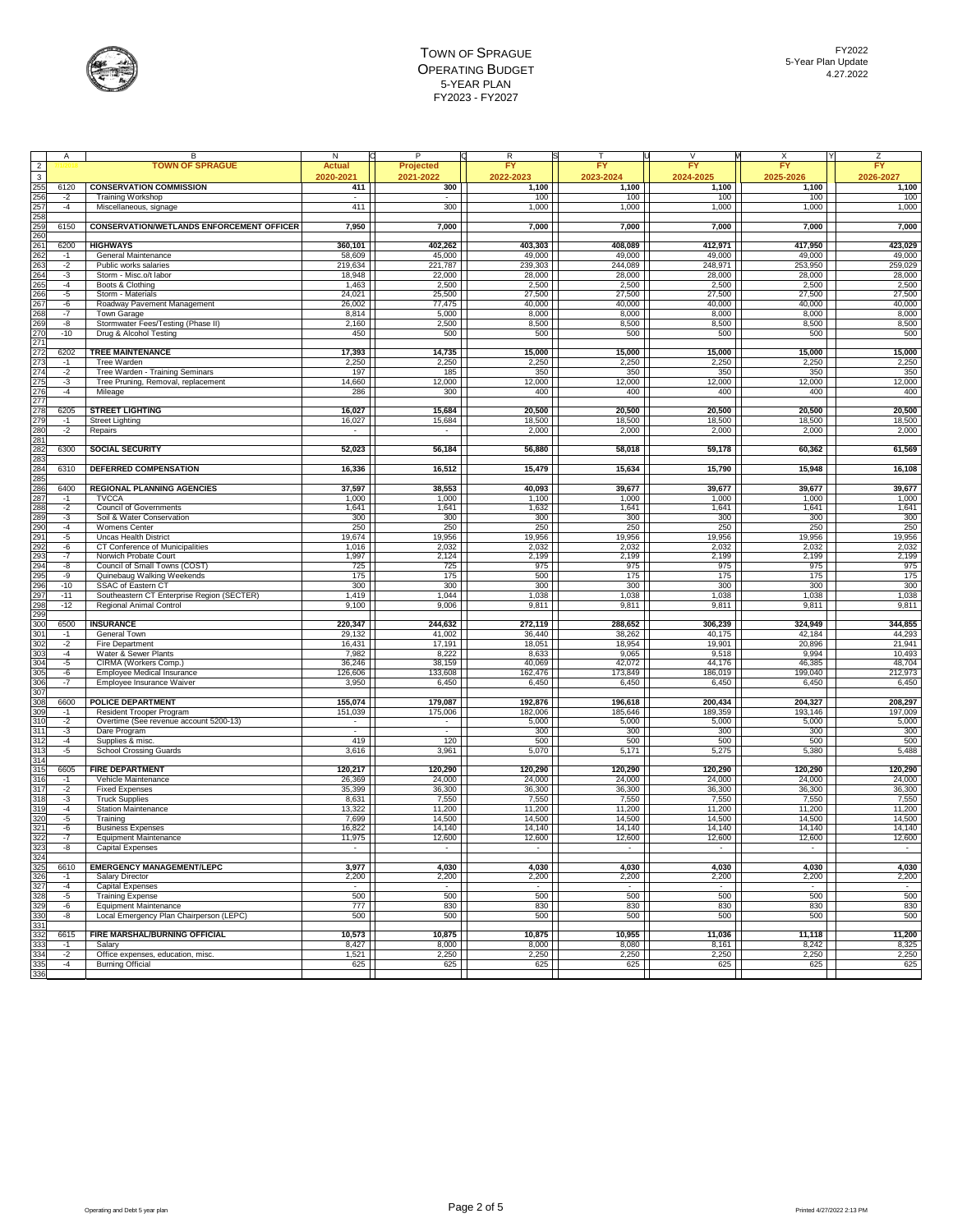

|                          |       |                                                   |           |                          | FY                       |           |                | FY        | <b>FY</b>       |
|--------------------------|-------|---------------------------------------------------|-----------|--------------------------|--------------------------|-----------|----------------|-----------|-----------------|
| $\overline{2}$           |       | <b>TOWN OF SPRAGUE</b>                            | Actua     | Projected                |                          | FY        | <b>FY</b>      |           |                 |
| $\overline{\mathbf{3}}$  |       |                                                   | 2020-2021 | 2021-2022                | 2022-2023                | 2023-2024 | 2024-2025      | 2025-2026 | 2026-2027       |
| 255                      | 6120  | <b>CONSERVATION COMMISSION</b>                    | 411       | 300                      | 1,100                    | 1,100     | 1,100          | 1,100     | 1,100           |
| 256                      | $-2$  | <b>Training Workshop</b>                          |           |                          | 100                      | 100       | 100            | 100       | 100             |
| 257                      | $-4$  | Miscellaneous, signage                            | 411       | 300                      | 1,000                    | 1,000     | 1,000          | 1,000     | 1,000           |
| 258                      |       |                                                   |           |                          |                          |           |                |           |                 |
| 259                      | 6150  | <b>CONSERVATION/WETLANDS ENFORCEMENT OFFICER</b>  | 7,950     | 7,000                    | 7,000                    | 7,000     | 7,000          | 7,000     | 7,000           |
| 260                      |       |                                                   |           |                          |                          |           |                |           |                 |
| 26'                      | 6200  | <b>HIGHWAYS</b>                                   | 360,101   | 402,262                  | 403,303                  | 408,089   | 412,971        | 417,950   | 423,029         |
| 262                      | $-1$  | General Maintenance                               | 58,609    | 45,000                   | 49,000                   | 49,000    | 49,000         | 49,000    | 49,000          |
| 263                      | $-2$  | Public works salaries                             | 219,634   | 221,787                  | 239,303                  | 244,089   | 248,971        | 253,950   | 259,029         |
| 264                      | -3    | Storm - Misc.o/t labor                            | 18,948    | 22,000                   | 28,000                   | 28,000    | 28,000         | 28,000    | 28,000          |
| 265                      | $-4$  | Boots & Clothing                                  | 1,463     | 2,500                    | 2,500                    |           | 2,500          | 2,500     | 2,500           |
| 266                      |       |                                                   |           |                          |                          | 2,500     |                |           | 27,500          |
|                          | -5    | Storm - Materials                                 | 24,021    | 25,500                   | 27,500                   | 27,500    | 27,500         | 27,500    |                 |
| 267                      | -6    | Roadway Pavement Management                       | 26,002    | 77,475                   | 40,000                   | 40,000    | 40,000         | 40,000    | 40,000          |
| 268                      | $-7$  | Town Garage                                       | 8,814     | 5,000                    | 8,000                    | 8,000     | 8,000          | 8,000     | 8,000           |
| <b>269</b>               | $-8$  | Stormwater Fees/Testing (Phase II)                | 2,160     | 2,500                    | 8,500                    | 8,500     | 8,500          | 8,500     | 8,500           |
| 270                      | $-10$ | Drug & Alcohol Testing                            | 450       | 500                      | 500                      | 500       | 500            | 500       | 500             |
| 27'                      |       |                                                   |           |                          |                          |           |                |           |                 |
| 272                      | 6202  | <b>TREE MAINTENANCE</b>                           | 17,393    | 14,735                   | 15,000                   | 15,000    | 15,000         | 15,000    | 15,000          |
| 273                      | $-1$  | Tree Warden                                       | 2,250     | 2,250                    | 2,250                    | 2,250     | 2,250          | 2,250     | 2,250           |
|                          | $-2$  | Tree Warden - Training Seminars                   | 197       | 185                      | 350                      | 350       | 350            | 350       | 350             |
|                          | -3    | Tree Pruning, Removal, replacement                | 14,660    | 12,000                   | 12,000                   | 12,000    | 12,000         | 12,000    | 12,000          |
|                          | -4    | Mileage                                           | 286       | 300                      | 400                      | 400       | 400            | 400       | 400             |
| 274<br>275<br>276<br>277 |       |                                                   |           |                          |                          |           |                |           |                 |
| 278                      | 6205  | <b>STREET LIGHTING</b>                            | 16,027    | 15,684                   | 20,500                   | 20,500    | 20,500         | 20,500    | 20,500          |
| 279                      | $-1$  | <b>Street Lighting</b>                            | 16,027    | 15,684                   | 18,500                   | 18,500    | 18,500         | 18,500    | 18,500          |
| 280                      | $-2$  | Repairs                                           |           |                          | 2,000                    | 2,000     | 2,000          | 2,000     | 2,000           |
| 28 <sup>2</sup>          |       |                                                   |           |                          |                          |           |                |           |                 |
|                          | 6300  | <b>SOCIAL SECURITY</b>                            |           |                          |                          |           |                |           | 61,569          |
| 282                      |       |                                                   | 52,023    | 56,184                   | 56,880                   | 58,018    | 59,178         | 60,362    |                 |
| 283                      |       |                                                   |           |                          |                          |           |                |           |                 |
| 284                      | 6310  | <b>DEFERRED COMPENSATION</b>                      | 16,336    | 16,512                   | 15,479                   | 15,634    | 15,790         | 15,948    | 16,108          |
| 285                      |       |                                                   |           |                          |                          |           |                |           |                 |
| 286                      | 6400  | <b>REGIONAL PLANNING AGENCIES</b>                 | 37,597    | 38,553                   | 40,093                   | 39,677    | 39,677         | 39,677    | 39,677          |
| 287                      | $-1$  | <b>TVCCA</b>                                      | 1,000     | 1,000                    | 1,100                    | 1,000     | 1,000          | 1,000     | 1,000           |
| 288                      | $-2$  | <b>Council of Governments</b>                     | 1,641     | 1,641                    | 1,632                    | 1,641     | 1,641          | 1,641     | 1,641           |
| <b>289</b>               | -3    | Soil & Water Conservation                         | 300       | 300                      | 300                      | 300       | 300            | 300       | 300             |
| 290                      | $-4$  | Womens Center                                     | 250       | 250                      | 250                      | 250       | 250            | 250       | 250             |
| 29'                      | -5    | <b>Uncas Health District</b>                      | 19,674    | 19,956                   | 19,956                   | 19,956    | 19,956         | 19,956    | 19,956          |
| 292                      | -6    | CT Conference of Municipalities                   | 1,016     | 2,032                    | 2,032                    | 2,032     | 2,032          | 2,032     | 2,032           |
| 293                      | $-7$  | Norwich Probate Court                             | 1,997     | 2,124                    | 2,199                    | 2,199     | 2,199          | 2,199     | 2,199           |
| 294                      | -8    | Council of Small Towns (COST)                     | 725       | 725                      | 975                      | 975       | 975            | 975       | 975             |
| 295                      | -9    | Quinebaug Walking Weekends                        |           |                          |                          |           |                |           | 175             |
|                          |       |                                                   | 175       | 175                      | 500                      | 175       | 175            | 175       |                 |
| 296                      | $-10$ | SSAC of Eastern CT                                | 300       | 300                      | 300                      | 300       | 300            | 300       | 300             |
| 297                      | $-11$ | Southeastern CT Enterprise Region (SECTER)        | 1,419     | 1,044                    | 1,038                    | 1,038     | 1,038          | 1,038     | 1,038           |
| 298                      | $-12$ | Regional Animal Control                           | 9,100     | 9,006                    | 9,811                    | 9,811     | 9,811          | 9,811     | 9,811           |
| 299                      |       |                                                   |           |                          |                          |           |                |           |                 |
| $\overline{300}$         | 6500  | <b>INSURANCE</b>                                  | 220,347   | 244,632                  | 272,119                  | 288,652   | 306,239        | 324,949   | 344,855         |
| 301<br>302               | $-1$  | General Town                                      | 29,132    | 41,002                   | 36,440                   | 38,262    | 40,175         | 42,184    | 44,293          |
|                          | $-2$  | Fire Department                                   | 16,431    | 17,191                   | 18,051                   | 18,954    | 19,901         | 20,896    | 21,941          |
| 303                      | $-4$  | Water & Sewer Plants                              | 7,982     | 8,222                    | 8,633                    | 9,065     | 9,518          | 9,994     | 10,493          |
| 304                      | -5    | CIRMA (Workers Comp.)                             | 36,246    | 38,159                   | 40,069                   | 42,072    | 44,176         | 46,385    | 48,704          |
| 305                      | -6    | Employee Medical Insurance                        | 126,606   | 133,608                  | 162,476                  | 173,849   | 186,019        | 199,040   | 212,973         |
| 306                      | $-7$  | Employee Insurance Waiver                         | 3,950     | 6,450                    | 6,450                    | 6,450     | 6,450          | 6,450     | 6,450           |
| 307                      |       |                                                   |           |                          |                          |           |                |           |                 |
| 308                      | 6600  | <b>POLICE DEPARTMENT</b>                          | 155,074   | 179,087                  | 192,876                  | 196,618   | 200,434        | 204,327   | 208,297         |
| 309                      | -1    | Resident Trooper Program                          | 151,039   | 175,006                  | 182,006                  | 185,646   | 189,359        | 193,146   | 197,009         |
| 310                      | $-2$  | Overtime (See revenue account 5200-13)            |           | $\overline{\phantom{a}}$ | 5,000                    | 5,000     | 5,000          | 5,000     | 5,000           |
| 31 <sup>2</sup>          | -3    | Dare Program                                      |           |                          | 300                      | 300       | 300            | 300       | 300             |
| 312                      | $-4$  |                                                   | 419       | 120                      | 500                      | 500       | 500            | 500       | 500             |
| 313                      |       | Supplies & misc.<br><b>School Crossing Guards</b> | 3,616     | 3,961                    | 5,070                    | 5,171     | 5,275          | 5,380     |                 |
| 314                      | $-5$  |                                                   |           |                          |                          |           |                |           | 5,488           |
|                          |       |                                                   |           |                          |                          |           |                |           |                 |
| 315                      | 6605  | <b>FIRE DEPARTMENT</b>                            | 120,217   | 120,290                  | 120,290                  | 120,290   | 120,290        | 120,290   | 120,290         |
| 316                      | $-1$  | Vehicle Maintenance                               | 26,369    | 24,000                   | 24,000                   | 24,000    | 24,000         | 24,000    | 24,000          |
| 317                      | $-2$  | <b>Fixed Expenses</b>                             | 35,399    | 36,300                   | 36,300                   | 36,300    | 36,300         | 36,300    | 36,300          |
| 318                      | $-3$  | <b>Truck Supplies</b>                             | 8,631     | 7,550                    | 7,550                    | 7,550     | 7,550          | 7,550     | 7,550<br>11,200 |
| 319                      | $-4$  | <b>Station Maintenance</b>                        | 13,322    | 11,200                   | 11,200                   | 11,200    | 11,200         | 11,200    |                 |
| 320                      | $-5$  | Training                                          | 7,699     | 14,500                   | 14,500                   | 14,500    | 14,500         | 14,500    | 14,500          |
| 321                      | -6    | <b>Business Expenses</b>                          | 16,822    | 14,140                   | 14,140                   | 14,140    | 14,140         | 14,140    | 14,140          |
| 322                      | $-7$  | <b>Equipment Maintenance</b>                      | 11,975    | 12,600                   | 12,600                   | 12,600    | 12,600         | 12,600    | 12,600          |
|                          | -8    | Capital Expenses                                  |           |                          | $\overline{\phantom{a}}$ | $\sim$    | $\blacksquare$ |           |                 |
| 323<br>324<br>325        |       |                                                   |           |                          |                          |           |                |           |                 |
|                          | 6610  | <b>EMERGENCY MANAGEMENT/LEPC</b>                  | 3,977     | 4,030                    | 4,030                    | 4,030     | 4,030          | 4,030     | 4,030           |
|                          | $-1$  | Salary Director                                   | 2,200     | 2,200                    | 2,200                    | 2,200     | 2,200          | 2,200     | 2,200           |
| 326<br>327               | $-4$  | <b>Capital Expenses</b>                           | $\sim$    | $\sim$                   | $\sim$                   | $\sim$    | $\sim$         | $\sim$    | $\sim$          |
| 328                      | -5    | <b>Training Expense</b>                           | 500       | 500                      | 500                      | 500       | 500            | 500       | 500             |
| 32 <sup>c</sup>          | -6    | Equipment Maintenance                             | 777       | 830                      | 830                      | 830       | 830            | 830       | 830             |
| 330                      | -8    | Local Emergency Plan Chairperson (LEPC)           | 500       | 500                      | 500                      | 500       | 500            | 500       | 500             |
|                          |       |                                                   |           |                          |                          |           |                |           |                 |
| 33 <sup>2</sup>          |       |                                                   |           |                          |                          |           |                |           |                 |
| 332                      | 6615  | FIRE MARSHAL/BURNING OFFICIAL                     | 10,573    | 10,875                   | 10,875                   | 10,955    | 11,036         | 11,118    | 11,200          |
| 333                      | $-1$  | Salary                                            | 8,427     | 8,000                    | 8,000                    | 8,080     | 8,161          | 8,242     | 8,325           |
| 334                      | $-2$  | Office expenses, education, misc.                 | 1,521     | 2,250                    | 2,250                    | 2,250     | 2,250          | 2,250     | 2,250           |
| 335                      | $-4$  | <b>Burning Official</b>                           | 625       | 625                      | 625                      | 625       | 625            | 625       | 625             |
| 336                      |       |                                                   |           |                          |                          |           |                |           |                 |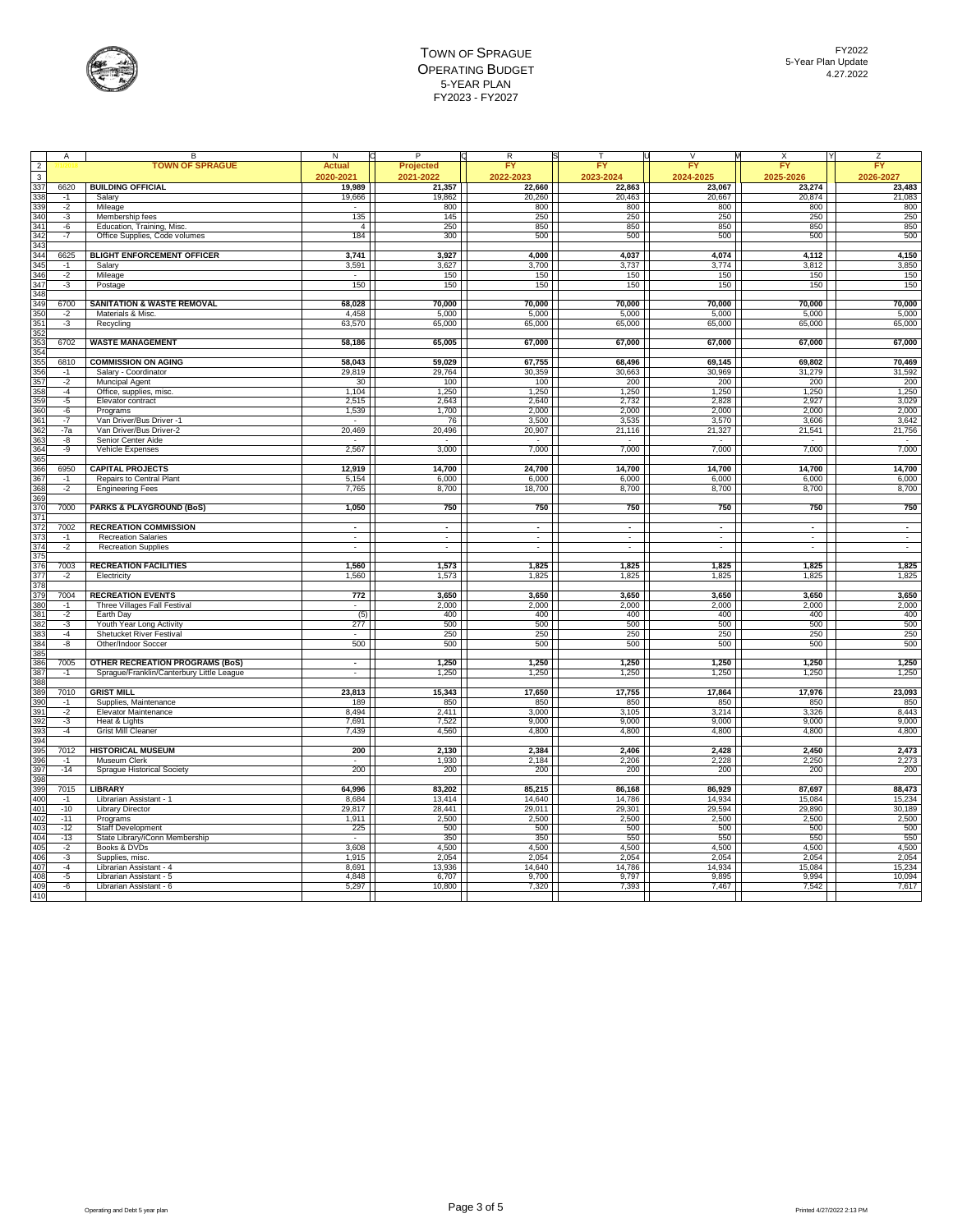

|                         |              | R                                                                                   | N              | P              |                             |                          | $\vee$     | x              |                     |
|-------------------------|--------------|-------------------------------------------------------------------------------------|----------------|----------------|-----------------------------|--------------------------|------------|----------------|---------------------|
| $\overline{2}$          | Α            | <b>TOWN OF SPRAGUE</b>                                                              | <b>Actual</b>  | Projected      | R<br><b>FY</b>              | FY                       | EY         | FY             | z<br>FY             |
| $\overline{\mathbf{3}}$ |              |                                                                                     | 2020-2021      | 2021-2022      | 2022-2023                   | 2023-2024                | 2024-2025  | 2025-2026      | 2026-2027           |
| 337                     | 6620         | <b>BUILDING OFFICIAL</b>                                                            | 19,989         | 21,357         | 22,660                      | 22,863                   | 23,067     | 23,274         | 23,483              |
|                         |              |                                                                                     |                |                |                             |                          |            |                |                     |
| 338                     | $-1$         | Salary                                                                              | 19,666         | 19,862         | 20,260                      | 20,463                   | 20,667     | 20,874         | 21,083              |
| 339<br>340              | $-2$         | Mileage<br>Membership fees                                                          | 135            | 800<br>145     | 800<br>250                  | 800<br>250               | 800<br>250 | 800<br>250     | 800<br>250          |
|                         | -3           | Education, Training, Misc.                                                          | $\overline{4}$ | 250            | 850                         | 850                      | 850        | 850            | 850                 |
| 341<br>342              | -6           |                                                                                     | 184            |                |                             | 500                      | 500        | 500            | 500                 |
| 34 <sup>°</sup>         | $-7$         | Office Supplies, Code volumes                                                       |                | 300            | 500                         |                          |            |                |                     |
| 344                     | 6625         | <b>BLIGHT ENFORCEMENT OFFICER</b>                                                   | 3,741          | 3,927          | 4,000                       | 4,037                    | 4,074      | 4,112          | 4,150               |
| 345                     | $-1$         | Salary                                                                              | 3,591          | 3,627          | 3,700                       | 3,737                    | 3,774      | 3,812          | 3,850               |
| 346                     | $-2$         | Mileage                                                                             |                | 150            | 150                         | 150                      | 150        | 150            | 150                 |
| 347                     | $-3$         | Postage                                                                             | 150            | 150            | 150                         | 150                      | 150        | 150            | 150                 |
| 348                     |              |                                                                                     |                |                |                             |                          |            |                |                     |
| 34 <sup>c</sup>         | 6700         | <b>SANITATION &amp; WASTE REMOVAL</b>                                               | 68,028         | 70,000         | 70,000                      | 70,000                   | 70.000     | 70,000         | 70,000              |
| 350                     | $-2$         | Materials & Misc.                                                                   | 4.458          | 5.000          | 5.000                       | 5.000                    | 5.000      | 5.000          | 5.000               |
| 35'                     | $-3$         | Recycling                                                                           | 63,570         | 65,000         | 65,000                      | 65,000                   | 65,000     | 65,000         | 65,000              |
| 352                     |              |                                                                                     |                |                |                             |                          |            |                |                     |
| 353                     | 6702         | <b>WASTE MANAGEMENT</b>                                                             | 58,186         | 65,005         | 67,000                      | 67,000                   | 67,000     | 67,000         | 67,000              |
| 354                     |              |                                                                                     |                |                |                             |                          |            |                |                     |
| 355                     | 6810         | <b>COMMISSION ON AGING</b>                                                          | 58,043         | 59,029         | 67,755                      | 68,496                   | 69,145     | 69,802         | 70,469              |
| 356                     | $-1$         | Salary - Coordinator                                                                | 29,819         | 29,764         | 30,359                      | 30,663                   | 30,969     | 31,279         | 31,592              |
| 357                     | $-2$         | <b>Muncipal Agent</b>                                                               | 30             | 100            | 100                         | 200                      | 200        | 200            | 200                 |
| 358                     | $-4$         | Office, supplies, misc.                                                             | 1,104          | 1,250          | 1,250                       | 1,250                    | 1,250      | 1,250          | 1,250               |
| 359                     | -5           | Elevator contract                                                                   | 2,515          | 2,643          | 2,640                       | 2,732                    | 2,828      | 2,927          | 3,029               |
| 360                     | -6           | Programs                                                                            | 1,539          | 1,700          | 2,000                       | 2,000                    | 2,000      | 2,000          | 2,000               |
| 361                     | $-7$         | Van Driver/Bus Driver -1                                                            |                | 76             | 3,500                       | 3,535                    | 3,570      | 3,606          | 3,642               |
| 362                     | $-7a$        | Van Driver/Bus Driver-2                                                             | 20,469         | 20,496         | 20,907                      | 21,116                   | 21,327     | 21,541         | 21,756              |
| 363                     | -8           | Senior Center Aide                                                                  |                |                |                             |                          | ÷          |                | ÷                   |
| 364                     | -9           | Vehicle Expenses                                                                    | 2,567          | 3,000          | 7,000                       | 7,000                    | 7,000      | 7,000          | 7,000               |
| 365                     |              |                                                                                     |                |                |                             |                          |            |                |                     |
| 366                     | 6950         | <b>CAPITAL PROJECTS</b>                                                             | 12,919         | 14,700         | 24,700                      | 14,700                   | 14,700     | 14,700         | 14,700              |
| 367                     |              |                                                                                     |                |                |                             |                          |            |                | 6,000               |
| 368                     | $-1$         | Repairs to Central Plant                                                            | 5,154<br>7,765 | 6,000<br>8,700 | 6,000<br>18,700             | 6,000                    | 6,000      | 6,000          | 8,700               |
| 36 <sup>c</sup>         | $-2$         | <b>Engineering Fees</b>                                                             |                |                |                             | 8,700                    | 8,700      | 8,700          |                     |
| 370                     | 7000         | <b>PARKS &amp; PLAYGROUND (BoS)</b>                                                 |                | 750            | 750                         | 750                      | 750        | 750            | 750                 |
| 37'                     |              |                                                                                     | 1,050          |                |                             |                          |            |                |                     |
|                         |              |                                                                                     |                | $\blacksquare$ |                             |                          |            |                |                     |
| 372<br>373              | 7002<br>$-1$ | <b>RECREATION COMMISSION</b>                                                        |                | ÷,             | $\mathcal{L}_{\mathcal{A}}$ | $\overline{\phantom{a}}$ | -          | ٠              | $\blacksquare$<br>÷ |
| 374                     | $-2$         | <b>Recreation Salaries</b><br><b>Recreation Supplies</b>                            | $\sim$         | $\sim$         | $\sim$                      | $\sim$                   | ÷          | $\sim$         | $\sim$              |
|                         |              |                                                                                     |                |                |                             |                          |            |                |                     |
| 375<br>376              | 7003         | <b>RECREATION FACILITIES</b>                                                        | 1,560          | 1,573          | 1,825                       | 1,825                    | 1.825      | 1.825          | 1,825               |
|                         |              |                                                                                     |                |                | 1,825                       | 1,825                    |            | 1,825          |                     |
| 377                     | $-2$         | Electricity                                                                         | 1,560          | 1,573          |                             |                          | 1,825      |                | 1,825               |
| 378<br>379              | 7004         | <b>RECREATION EVENTS</b>                                                            | 772            | 3,650          | 3,650                       | 3,650                    | 3,650      | 3,650          | 3,650               |
| 380                     |              |                                                                                     | $\sim$         |                |                             |                          |            |                | 2,000               |
| 381                     | $-1$         | Three Villages Fall Festival                                                        |                | 2,000          | 2,000                       | 2,000                    | 2,000      | 2,000          |                     |
| 382                     | $-2$<br>$-3$ | Earth Day                                                                           | (5)<br>277     | 400<br>500     | 400<br>500                  | 400<br>500               | 400<br>500 | 400<br>500     | 400<br>500          |
| 383                     | $-4$         | Youth Year Long Activity<br>Shetucket River Festival                                |                | 250            | 250                         | 250                      | 250        | 250            | 250                 |
| 384                     | -8           | Other/Indoor Soccer                                                                 | 500            | 500            | 500                         | 500                      | 500        | 500            | 500                 |
|                         |              |                                                                                     |                |                |                             |                          |            |                |                     |
| 385<br>386              |              |                                                                                     |                | 1,250          | 1,250                       |                          | 1,250      |                | 1,250               |
| 387                     | 7005<br>$-1$ | <b>OTHER RECREATION PROGRAMS (BoS)</b><br>Sprague/Franklin/Canterbury Little League |                | 1,250          | 1,250                       | 1,250<br>1,250           | 1,250      | 1,250<br>1,250 | 1,250               |
| 388                     |              |                                                                                     |                |                |                             |                          |            |                |                     |
| 389                     | 7010         | <b>GRIST MILL</b>                                                                   | 23,813         | 15,343         | 17,650                      | 17,755                   | 17,864     | 17,976         | 23,093              |
| 390                     | $-1$         | Supplies, Maintenance                                                               | 189            | 850            | 850                         | 850                      | 850        | 850            | 850                 |
| 39'                     | $-2$         | Elevator Maintenance                                                                | 8,494          | 2,411          | 3,000                       | 3,105                    | 3,214      | 3,326          | 8,443               |
| 392                     | $-3$         | Heat & Lights                                                                       | 7,691          | 7,522          | 9,000                       | 9,000                    | 9,000      | 9,000          | 9,000               |
| 393                     | $-4$         | <b>Grist Mill Cleaner</b>                                                           | 7,439          | 4,560          | 4,800                       | 4,800                    |            | 4,800          | 4,800               |
| 394                     |              |                                                                                     |                |                |                             |                          | 4,800      |                |                     |
| 395                     | 7012         | <b>HISTORICAL MUSEUM</b>                                                            | 200            | 2,130          | 2,384                       | 2,406                    | 2,428      | 2,450          | 2,473               |
| 396                     | $-1$         | Museum Clerk                                                                        |                | 1,930          | 2,184                       | 2,206                    | 2,228      | 2,250          | 2,273               |
| 397                     | $-14$        | Sprague Historical Society                                                          | 200            | 200            | 200                         | 200                      | 200        | 200            | 200                 |
| 398                     |              |                                                                                     |                |                |                             |                          |            |                |                     |
| 39 <sup>c</sup>         | 7015         | <b>LIBRARY</b>                                                                      | 64,996         | 83,202         | 85,215                      | 86,168                   | 86,929     | 87,697         | 88,473              |
| 400                     | $-1$         | Librarian Assistant - 1                                                             | 8,684          | 13,414         | 14,640                      | 14,786                   | 14,934     | 15,084         | 15,234              |
| 401                     | $-10$        | <b>Library Director</b>                                                             | 29,817         | 28,441         | 29,011                      | 29,301                   | 29,594     | 29,890         | 30,189              |
| 402                     | $-11$        | Programs                                                                            | 1,911          | 2,500          | 2,500                       | 2,500                    | 2,500      | 2,500          | 2,500               |
| 403                     | $-12$        | Staff Development                                                                   | 225            | 500            | 500                         | 500                      | 500        | 500            |                     |
| 404                     | $-13$        | State Library/iConn Membership                                                      |                | 350            | 350                         | 550                      | 550        | 550            | 500<br>550          |
| 405                     | $-2$         | Books & DVDs                                                                        | 3,608          | 4,500          | 4,500                       | 4,500                    | 4,500      | 4,500          | 4,500               |
| 406                     | $-3$         | Supplies, misc.                                                                     | 1,915          | 2,054          | 2,054                       | 2,054                    | 2,054      | 2,054          | 2,054               |
| 407                     | -4           | Librarian Assistant - 4                                                             | 8,691          | 13,936         | 14,640                      | 14,786                   | 14,934     | 15,084         | 15,234              |
| 408                     | $-5$         | Librarian Assistant - 5                                                             | 4,848          | 6,707          | 9,700                       | 9,797                    | 9,895      | 9,994          | 10,094              |
| 409                     | $-6$         | Librarian Assistant - 6                                                             | 5,297          | 10,800         | 7,320                       | 7,393                    | 7,467      | 7,542          | 7,617               |
| $\frac{1}{410}$         |              |                                                                                     |                |                |                             |                          |            |                |                     |
|                         |              |                                                                                     |                |                |                             |                          |            |                |                     |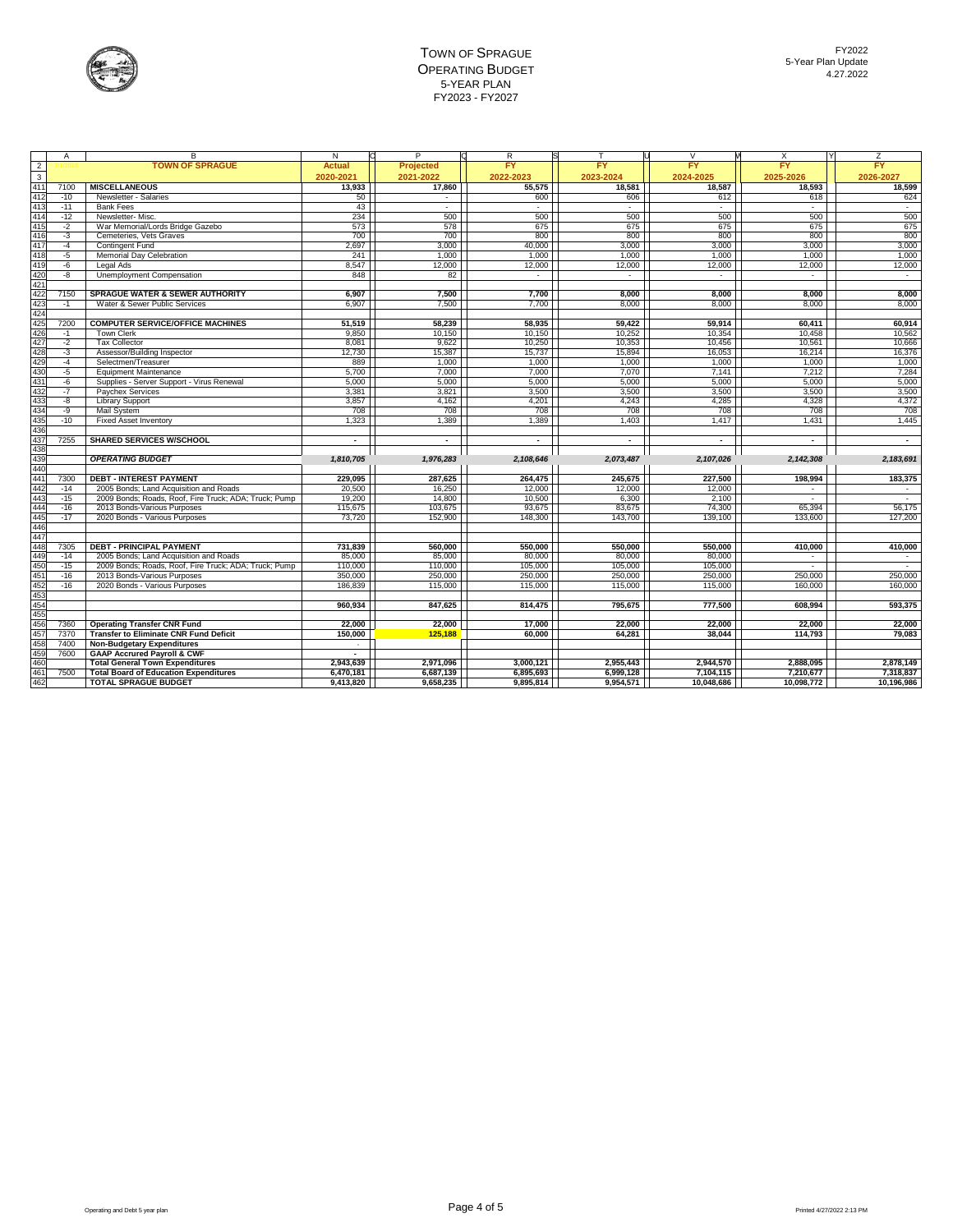

|                         | Α     | R                                                     | N              |                  | R                        |                          |                          | X              | Z                        |
|-------------------------|-------|-------------------------------------------------------|----------------|------------------|--------------------------|--------------------------|--------------------------|----------------|--------------------------|
| $\overline{a}$          |       | <b>TOWN OF SPRAGUE</b>                                | Actual         | <b>Projected</b> | <b>FY</b>                | <b>FY</b>                | <b>FY</b>                | <b>FY</b>      | <b>FY</b>                |
| $\overline{\mathbf{3}}$ |       |                                                       | 2020-2021      | 2021-2022        | 2022-2023                | 2023-2024                | 2024-2025                | 2025-2026      | 2026-2027                |
| 411                     | 7100  | <b>MISCELLANEOUS</b>                                  | 13,933         | 17,860           | 55,575                   | 18,581                   | 18,587                   | 18.593         | 18,599                   |
| 412                     | $-10$ | Newsletter - Salaries                                 | 50             | $\sim$           | 600                      | 606                      | 612                      | 618            | 624                      |
| 413                     | $-11$ | <b>Bank Fees</b>                                      | 43             | ÷                | $\blacksquare$           |                          | $\overline{a}$           |                | $\sim$                   |
| 414                     | $-12$ | Newsletter-Misc.                                      | 234            | 500              | 500                      | 500                      | 500                      | 500            | 500                      |
| 415                     | $-2$  | War Memorial/Lords Bridge Gazebo                      | 573            | 578              | 675                      | 675                      | 675                      | 675            | 675                      |
| 416                     | $-3$  | Cemeteries, Vets Graves                               | 700            | 700              | 800                      | 800                      | 800                      | 800            | 800                      |
| 417                     | $-4$  | Contingent Fund                                       | 2.697          | 3.000            | 40,000                   | 3.000                    | 3.000                    | 3.000          | 3,000                    |
| 418                     | $-5$  | Memorial Day Celebration                              | 241            | 1.000            | 1.000                    | 1.000                    | 1.000                    | 1.000          | 1,000                    |
| 419                     | -6    | Legal Ads                                             | 8,547          | 12,000           | 12,000                   | 12,000                   | 12,000                   | 12,000         | 12,000                   |
| 420                     | -8    | Unemployment Compensation                             | 848            | 82               |                          |                          | $\overline{\phantom{a}}$ |                | $\overline{\phantom{a}}$ |
| 421                     |       |                                                       |                |                  |                          |                          |                          |                |                          |
| 422                     | 7150  | <b>SPRAGUE WATER &amp; SEWER AUTHORITY</b>            | 6,907          | 7,500            | 7,700                    | 8.000                    | 8.000                    | 8,000          | 8,000                    |
| 423                     | $-1$  | Water & Sewer Public Services                         | 6,907          | 7,500            | 7,700                    | 8,000                    | 8,000                    | 8,000          | 8,000                    |
| 424                     |       |                                                       |                |                  |                          |                          |                          |                |                          |
| 425                     | 7200  | <b>COMPUTER SERVICE/OFFICE MACHINES</b>               | 51,519         | 58,239           | 58,935                   | 59,422                   | 59,914                   | 60,411         | 60,914                   |
| 426                     | $-1$  | <b>Town Clerk</b>                                     | 9.850          | 10.150           | 10,150                   | 10,252                   | 10,354                   | 10.458         | 10,562                   |
| 427                     | $-2$  | <b>Tax Collector</b>                                  | 8.081          | 9.622            | 10,250                   | 10,353                   | 10,456                   | 10.561         | 10,666                   |
| 428                     | $-3$  | Assessor/Building Inspector                           | 12,730         | 15,387           | 15,737                   | 15,894                   | 16,053                   | 16,214         | 16,376                   |
| 429                     | $-4$  | Selectmen/Treasurer                                   | 889            | 1,000            | 1,000                    | 1,000                    | 1,000                    | 1,000          | 1,000                    |
| 430                     | $-5$  | <b>Equipment Maintenance</b>                          | 5,700          | 7,000            | 7,000                    | 7,070                    | 7.141                    | 7.212          | 7,284                    |
| 431                     | $-6$  | Supplies - Server Support - Virus Renewal             | 5,000          | 5,000            | 5,000                    | 5,000                    | 5.000                    | 5.000          | 5,000                    |
| 432                     | $-7$  | Paychex Services                                      | 3,381          | 3,821            | 3,500                    | 3,500                    | 3,500                    | 3.500          | 3,500                    |
| 433                     | $-8$  | Library Support                                       | 3,857          | 4,162            | 4,201                    | 4,243                    | 4,285                    | 4,328          | 4,372                    |
| 434                     | $-9$  | <b>Mail System</b>                                    | 708            | 708              | 708                      | 708                      | 708                      | 708            | 708                      |
| 435                     | $-10$ | <b>Fixed Asset Inventory</b>                          | 1,323          | 1,389            | 1,389                    | 1.403                    | 1,417                    | 1.431          | 1,445                    |
| 436                     |       |                                                       |                |                  |                          |                          |                          |                |                          |
| 437                     | 7255  | <b>SHARED SERVICES W/SCHOOL</b>                       | $\blacksquare$ | $\blacksquare$   | $\overline{\phantom{a}}$ | $\overline{\phantom{a}}$ | $\blacksquare$           | $\blacksquare$ | $\sim$                   |
| 438                     |       | <b>OPERATING BUDGET</b>                               |                |                  |                          |                          |                          |                |                          |
| 439<br>440              |       |                                                       | 1,810,705      | 1,976,283        | 2,108,646                | 2,073,487                | 2,107,026                | 2,142,308      | 2,183,691                |
| 441                     | 7300  | <b>DEBT - INTEREST PAYMENT</b>                        | 229.095        | 287.625          | 264.475                  | 245.675                  | 227.500                  | 198.994        | 183,375                  |
| 442                     | $-14$ | 2005 Bonds; Land Acquisition and Roads                | 20,500         | 16,250           | 12,000                   | 12,000                   | 12,000                   |                | $\sim$                   |
| 443                     | $-15$ | 2009 Bonds; Roads, Roof, Fire Truck; ADA; Truck; Pump | 19,200         | 14,800           | 10,500                   | 6,300                    | 2.100                    | $\sim$         | $\sim$                   |
| 444                     | $-16$ | 2013 Bonds-Various Purposes                           | 115,675        | 103,675          | 93,675                   | 83,675                   | 74,300                   | 65,394         | 56,175                   |
|                         | $-17$ | 2020 Bonds - Various Purposes                         | 73,720         | 152,900          | 148,300                  | 143,700                  | 139,100                  | 133,600        | 127,200                  |
| 445<br>446              |       |                                                       |                |                  |                          |                          |                          |                |                          |
| 447                     |       |                                                       |                |                  |                          |                          |                          |                |                          |
| 448                     | 7305  | <b>DEBT - PRINCIPAL PAYMENT</b>                       | 731,839        | 560,000          | 550,000                  | 550,000                  | 550.000                  | 410,000        | 410,000                  |
| 449                     | $-14$ | 2005 Bonds; Land Acquisition and Roads                | 85,000         | 85,000           | 80,000                   | 80,000                   | 80,000                   |                | $\sim$                   |
| 450                     | $-15$ | 2009 Bonds; Roads, Roof, Fire Truck; ADA; Truck; Pump | 110,000        | 110,000          | 105,000                  | 105,000                  | 105,000                  |                |                          |
|                         | $-16$ | 2013 Bonds-Various Purposes                           | 350,000        | 250,000          | 250,000                  | 250,000                  | 250,000                  | 250,000        | 250,000                  |
| 451<br>452              | $-16$ | 2020 Bonds - Various Purposes                         | 186,839        | 115,000          | 115,000                  | 115,000                  | 115,000                  | 160,000        | 160,000                  |
| 453                     |       |                                                       |                |                  |                          |                          |                          |                |                          |
|                         |       |                                                       | 960,934        | 847.625          | 814,475                  | 795,675                  | 777,500                  | 608.994        | 593,375                  |
| 454<br>455              |       |                                                       |                |                  |                          |                          |                          |                |                          |
| 456                     | 7360  | <b>Operating Transfer CNR Fund</b>                    | 22,000         | 22,000           | 17,000                   | 22,000                   | 22,000                   | 22,000         | 22,000                   |
| 457                     | 7370  | <b>Transfer to Eliminate CNR Fund Deficit</b>         | 150,000        | 125,188          | 60.000                   | 64,281                   | 38,044                   | 114,793        | 79,083                   |
| 458                     | 7400  | <b>Non-Budgetary Expenditures</b>                     | ×.             |                  |                          |                          |                          |                |                          |
| 459                     | 7600  | <b>GAAP Accrured Payroll &amp; CWF</b>                | $\blacksquare$ |                  |                          |                          |                          |                |                          |
| 460                     |       | <b>Total General Town Expenditures</b>                | 2,943,639      | 2.971.096        | 3.000.121                | 2,955,443                | 2,944,570                | 2,888,095      | 2,878,149                |
| 461                     | 7500  | <b>Total Board of Education Expenditures</b>          | 6,470,181      | 6,687,139        | 6,895,693                | 6,999,128                | 7,104,115                | 7,210,677      | 7,318,837                |
| 462                     |       | <b>TOTAL SPRAGUE BUDGET</b>                           | 9,413,820      | 9,658,235        | 9,895,814                | 9,954,571                | 10,048,686               | 10,098,772     | 10,196,986               |